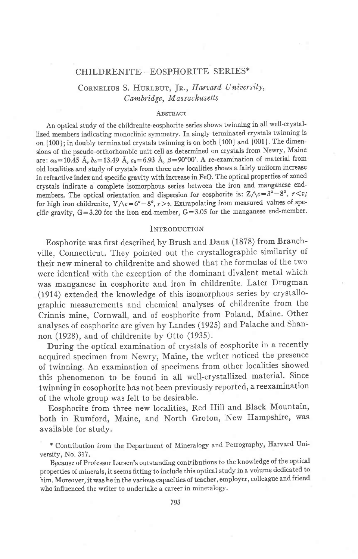### CHILDRENITE-EOSPHORITE SERIES\*

# CORNELIUS S. HURLBUT, JR., Harvard University, Cambridge, Massachusetts

#### **ARSTRACT**

An optical study of the childrenite-eosphorite series shows twinning in all well-crystallized members indicating monoclinic symmetry. In singly terminated crystals twinning is on {100}; in doubly terminated crystals twinning is on both {100} and {001}. The dimensions of the pseudo-orthorhombic unit cell as determined on crystals from Newry, Maine are:  $\alpha_0 = 10.45$  Å,  $b_0 = 13.49$  Å,  $c_0 = 6.93$  Å,  $\beta = 90^{\circ}00'$ . A re-examination of material from old localities and study of crystals from three new localities shows a fairly uniform increase in refractive index and specific gravity with increase in FeO. The optical properties of zoned crystals indicate a complete isomorphous series between the iron and manganese endmembers. The optical orientation and dispersion for eosphorite is:  $Z \wedge c = 3^{\circ} - 8^{\circ}$ ,  $r \leq v$ ; for high iron childrenite,  $Y \wedge c = 6^{\circ} - 8^{\circ}$ ,  $r > v$ . Extrapolating from measured values of specific gravity,  $G = 3.20$  for the iron end-member,  $G = 3.05$  for the manganese end-member.

#### **INTRODUCTION**

Eosphorite was first described by Brush and Dana (1878) from Branchville, Connecticut. They pointed out the crystallographic similarity of their new mineral to childrenite and showed that the formulas of the two were identical with the exception of the dominant divalent metal which was manganese in eosphorite and iron in childrenite. Later Drugman (1914) extended the knowledge of this isomorphous series by crystallographic measurements and chemical analyses of childrenite from the Crinnis mine, Cornwall, and of eosphorite from Poland, Maine. Other analyses of eosphorite are given by Landes (1925) and Palache and Shannon (1928), and of childrenite by Otto (1935).

During the optical examination of crystals of eosphorite in a recently acquired specimen from Newry, Maine, the writer noticed the presence of twinning. An examination of specimens from other localities showed this phenomenon to be found in all well-crystallized material. Since twinning in eosophorite has not been previously reported, a reexamination of the whole group was felt to be desirable.

Eosphorite from three new localities, Red Hill and Black Mountain, both in Rumford, Maine, and North Groton, New Hampshire, was available for study.

Because of Professor Larsen's outstanding contributions to the knowledge of the optical properties of minerals, it seems fitting to include this optical study in a volume dedicated to him. Moreover, it was he in the various capacities of teacher, employer, colleague and friend who influenced the writer to undertake a career in mineralogy.

<sup>\*</sup> Contribution from the Department of Mineralogy and Petrography, Harvard University, No. 317.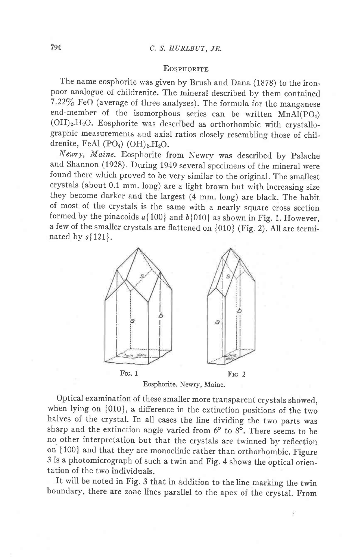# 794 C. S, EURLBUT, JR.

## **EOSPHORITE**

The name eosphorite was given by Brush and Dana (1878) to the ironpoor analogue of childrenite. The mineral described by them contained  $7.22\%$  FeO (average of three analyses). The formula for the manganese end-member of the isomorphous series can be written  $MnAl(PO<sub>4</sub>)$  $(OH)_2.H_2O$ . Eosphorite was described as orthorhombic with crystallographic measurements and axial ratios closely resembling those of childrenite, FeAl (PO<sub>4</sub>) (OH)<sub>2</sub>.H<sub>2</sub>O.

Newry, Maine. Eosphorite from Newry was described by palache and Shannon (1928). During 1949 several specimens of the minerai were found there which proved to be very similar to the original. The smallest crystals (about 0.1 mm. long) are a light brown but with increasing size they become darker and the largest (4 mm. long) are black. The habit of most of the crystals is the same with a nearly square cross section formed by the pinacoids  $a\{100\}$  and  $b\{010\}$  as shown in Fig. 1. However, a few of the smaller crystals are flattened on {010} (Fig. 2). AII are terminated by  $s{121}$ .



Eosphorite. Newry, Maine.

optical examination of these smaller more transparent crystals showed, when lying on {010}, a difference in the extinction positions of the two halves of the crystal. In all cases the line dividing the two parts was sharp and the extinction angle varied from  $6^{\circ}$  to  $8^{\circ}$ . There seems to be no. other interpretation but that the crystals are twinned by reflection on {100} and that they are monoclinic rather than orthorhombic. Figure 3 is a photomicrograph of such a twin and Fig. 4 shows the optical orientation of the two individuals.

It will be noted in Fig. 3 that in addition to the line marking the twin boundary, there are zone lines parallel to the apex of the crystal. From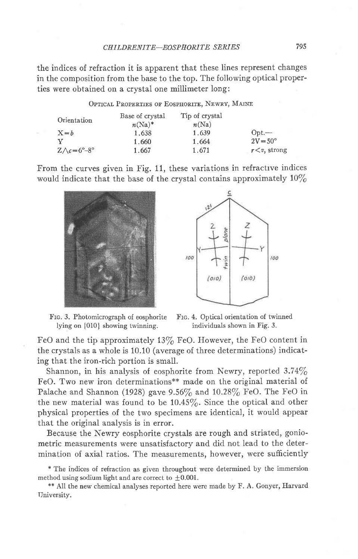the indices of refraction it is apparent that these lines represent changes in the composition from the base to the top. The following optical properties were obtained on a crystal one millimeter long:

| OPTICAL PROPERTIES OF EOSPHORITE, NEWRY, MAINE |  |  |  |  |
|------------------------------------------------|--|--|--|--|
|------------------------------------------------|--|--|--|--|

| Orientation                      | Base of crystal<br>$n(Na)^*$ | Tip of crystal<br>n(Na) |                     |
|----------------------------------|------------------------------|-------------------------|---------------------|
| $X = b$                          | 1.638                        | 1.639                   | $Opt.$ —            |
| $\mathbf v$                      | 1.660                        | 1.664                   | $2V = 50^{\circ}$   |
| $Z \wedge c = 6^\circ - 8^\circ$ | 1.667                        | 1.671                   | $r \leq v$ , strong |

From the curves given in Fig. 11, these variations in refractive indices would indicate that the base of the crystal contains approximately  $10\%$ 



Frc. 3. Photomicrograph of eosphorite Frc. 4. Optical orientation of twinned lying on  ${010}$  showing twinning. individuals shown in Fig. 3.



FeO and the tip approximately  $13\%$  FeO. However, the FeO content in the crystals as a whole is 10.10 (average of three determinations) indicating that the iron-rich portion is small.

Shannon, in his analysis of eosphorite from Newry, reported  $3.74\%$ FeO. Two new iron determinations\*\* made on the original material of Palache and Shannon (1928) gave 9.56% and 10.28% FeO. The FeO in the new material was found to be  $10.45\%$ . Since the optical and other physical properties of the two specimens are identical, it would appear that the original analysis is in error.

Because the Newry eosphorite crystals are rough and striated, goniometric measurements were unsatisfactory and did not lead to the determination of axial ratios. The measurements, however, were sufficiently

\* The indices of refraction as given throughout were determined by the immersion method using sodium light and are correct to  $\pm 0.001$ .

\*\* All the new chemical analyses reported here were made by F. A. Gonyer, Harvard Tlniversity.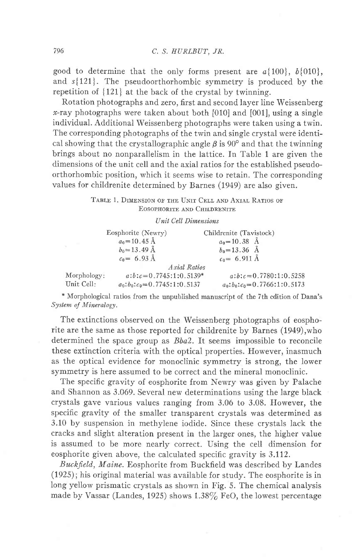good to determine that the only forms present are  $a\{100\}$ ,  $b\{010\}$ , and  $s{121}$ . The pseudoorthorhombic symmetry is produced by the repetition of  $\{121\}$  at the back of the crystal by twinning.

Rotation photographs and zero, first and second layer line Weissenberg  $x$ -ray photographs were taken about both [010] and [001], using a single individual. Additional Weissenberg photographs were taken using a twin. The corresponding photographs of the twin and single crystal were identical showing that the crystallographic angle  $\beta$  is 90° and that the twinning brings about no nonparallelism in the lattice. In Table 1 are given the dimensions of the unit cell and the axial ratios for the established pseudoorthorhombic position, which it seems wise to retain. The corresponding values for childrenite determined by Barnes (1919) are also given.

> TABLE 1. DIMENSION OF THE UNIT CELL AND AXIAL RATIOS OF EOSOPHORITE AND CHILDRENITE

### Unil Cell Dimensions

|             | Eosphorite (Newry)            | Childrenite (Tavistock)       |
|-------------|-------------------------------|-------------------------------|
|             | $a_0 = 10.45 \text{ Å}$       | $a_0 = 10.38 \text{ Å}$       |
|             | $b_0 = 13.49 \text{ Å}$       | $b_0 = 13.36$ Å               |
|             | $c_0 = 6.93 \text{ Å}$        | $c_0 = 6.911 \text{ Å}$       |
|             |                               | Axial Ratios                  |
| Morphology: | $a:b:c=0.7745:1:0.5139*$      | $a:b:c=0.7780:1:0.5258$       |
| Unit Cell:  | $a_0:b_0:c_0=0.7745:1:0.5137$ | $a_0:b_0:c_0=0.7766:1:0.5173$ |

\* Morphological ratios from the unpublished manuscript of the 7th edition of Dana's System of Mineralogy.

The extinctions observed on the Weissenberg photographs of eosphorite are the same as those reported for childrenite by Barnes (1949),who determined the space group as *Bba2*. It seems impossible to reconcile these extinction criteria with the optical properties. However, inasmuch as the optical evidence for monoclinic symmetry is strong, the lower symnetry is here assumed to be correct and the mineral monoclinic.

The specific gravity of eosphorite from Newry was given by Palache and Shannon as 3.069. Several new determinations using the large black crystals gave various values ranging from 3.06 to 3.08. However, the specific gravity of the smaller transparent crystals was determined as 3.10 by suspension in methylene iodide. Since these crystals lack the cracks and slight alteration present in the larger ones, the higher value is assumed to be more nearly correct. Using the cell dimension for eosphorite given above, the calculated specific gravity is 3.112.

Buckfield, Maine. Eosphorite from Buckfield was described by Landes (1925); his original material was available for study. The eosphorite is in long yeilow prismatic crystals as shown in Fig. 5. The chemical analysis made by Vassar (Landes, 1925) shows  $1.38\%$  FeO, the lowest percentage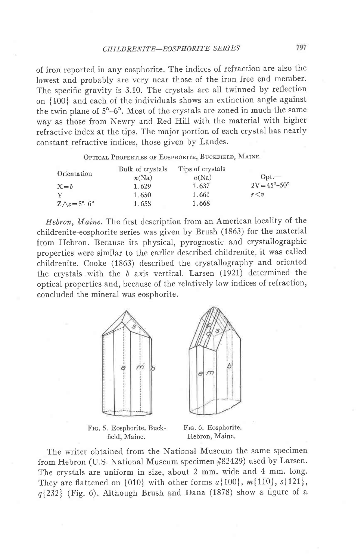of iron reported in any eosphorite. The indices of refraction are also the lowest and probably are very near those of the iron free end member. The specific gravity is 3.10. The crystals are all twinned by reflection on {100} and each of the individuals shows an extinction angle against the twin plane of  $5^{\circ}$ -6°. Most of the crystals are zoned in much the same way as those from Newry and Red Hill with the material with higher refractive index at the tips. The major portion of each crystal has nearly constant refractive indices, those given by Landes.

OPTICAL PROPERTIES OF EOSPHORITE, BUCKFIELD, MAINE

|                                      | Bulk of crystals | Tips of crystals |                                |
|--------------------------------------|------------------|------------------|--------------------------------|
| Orientation                          | n(Na)            | n(Na)            | $Opt$ —                        |
| $X = b$                              | 1.629            | 1.637            | $2V = 45^{\circ} - 50^{\circ}$ |
| v                                    | 1.650            | 1.661            | r < v                          |
| $Z \wedge c = 5^{\circ} - 6^{\circ}$ | 1.658            | 1.668            |                                |

Hebron, Maine. The first description from an American locality of the childrenite-eosphorite series was given by Brush (1863) for the material from Hebron. Because its physical, pyrognostic and crystallographic properties were similar to the earlier described childrenite, it was called childrenite. Cooke (1363) described the crystallography and oriented the crystals with the  $b$  axis vertical. Larsen (1921) determined the optical properties and, because of the relatively low indices of refraction, concluded the mineral was eosphorite.



FIG. 5. Eosphorite. Buck- FIG. 6. Eosphorite. field, Maine. Hebron, Maine.

The writer obtained from the National Museum the same specimen from Hebron (U.S. National Museum specimen #82429) used by Larsen. The crystals are uniform in size, about 2 mm. wide and 4 mm. long. They are flattened on  $\{010\}$  with other forms  $a\{100\}$ ,  $m\{110\}$ ,  $s\{121\}$ ,  $q$ {232} (Fig. 6). Although Brush and Dana (1878) show a figure of a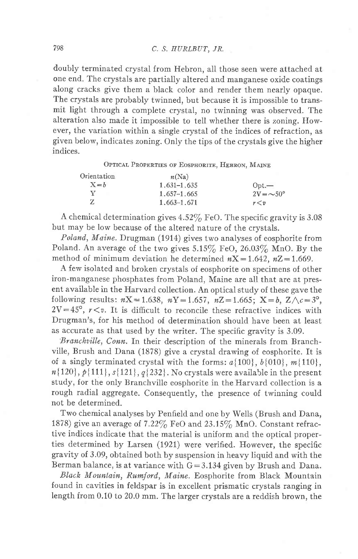doubly terminated crystal from Hebron, all those seen were attached at one end. The crystals are partially altered and manganese oxide coatings along cracks give them a black color and render them nearly opaque. The crystals are probably twinned, but because it is impossible to transmit light through a complete crystal, no twinning was observed. The alteration also made it impossible to tell whether there is zoning. However, the variation within a single crystal of the indices of refraction, as given below, indicates zoning. Only the tips of the crystals give the higher indices.

OPTICAL PROPERTIES OF EOSPHORITE, HEBRON, MAINE

| Orientation | n(Na)           |                        |
|-------------|-----------------|------------------------|
| $X = h$     | $1.631 - 1.635$ | $_{\text{Opt.}}$       |
|             | 1.657-1.665     | $2V = \sim 50^{\circ}$ |
|             | $1,663-1,671$   | r < v                  |

A chemical determination gives  $4.52\%$  FeO. The specific gravity is 3.08 but may be low because of the altered nature of the crystals.

 $Poland, Maine. Drugman (1914) gives two analyses of cosphorite from$ Poland. An average of the two gives  $5.15\%$  FeO,  $26.03\%$  MnO. By the method of minimum deviation he determined  $nX=1.642$ ,  $nZ=1.669$ .

A few isolated and broken crystals of eosphorite on specimens of other iron-manganese phosphates from Poland, Maine are all that are at present available in the Harvard collection. An optical study of these gave the following results:  $nX = 1.638$ ,  $nY = 1.657$ ,  $nZ = 1.665$ ;  $X = b$ ,  $Z \wedge c = 3^{\circ}$ ,  $2V=45^{\circ}$ ,  $r\lt v$ . It is difficult to reconcile these refractive indices with Drugman's, for his method of determination should have been at least as accurate as that used by the writer. The specific gravity is 3.09.

Branchville, Conn. In their description of the minerals from Branchville, Brush and Dana (1878) give a crystal drawing of eosphorite. It is of a singly terminated crystal with the forms:  $a\{100\}$ ,  $b\{010\}$ ,  $m\{110$  $n\{120\}, p\{111\}, s\{121\}, q\{232\}.$  No crystals were available in the present study, for the only Branchville eosphorite in the Harvard collection is a rough radial aggregate. Consequently, the presence of twinning could not be determined.

Two chemical analyses by Penfield and one by Wells (Brush and Dana, 1878) give an average of  $7.22\%$  FeO and  $23.15\%$  MnO. Constant refractive indices indicate that the material is uniform and the optical properties determined by Larsen (1921) were verified. However, the specific gravity of 3.09, obtained both by suspension in heavy liquid and with the Berman balance, is at variance with  $G=3.134$  given by Brush and Dana.

Black Mountain, Rumford., Maine. Eosphorite from Black Mountain found in cavities in feldspar is in excellent prismatic crystals ranging in length from 0.10 to 20.0 mm. The larger crystals are a reddish brown, the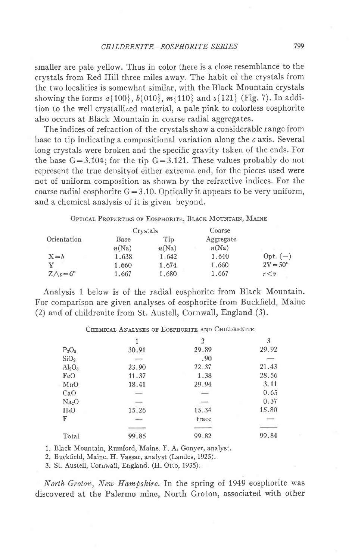smaller are pale yellow. Thus in color there is a close resemblance to the crystals from Red Hill three miles away. The habit of the crystals from the two localities is somewhat similar, with the Black Mountain crystals showing the forms  $a(100)$ ,  $b(010)$ ,  $m(110)$  and  $s(121)$  (Fig. 7). In addition to the well crystallized material, a pale pink to colorless eosphorite also occurs at Black Mountain in coarse radial aggregates.

The indices of refraction of the crystals show a considerable range from base to tip indicating a compositional variation along the  $c$  axis. Several long crystals were broken and the specific gravity taken of the ends. For the base  $G=3.104$ ; for the tip  $G=3.121$ . These values probably do not represent the true densityof either extreme end, for the pieces used were not of uniform composition as shown by the refractive indices. For the coarse radial eosphorite  $G = 3.10$ . Optically it appears to be very uniform, and a chemical analysis of it is given beyond.

#### OPTICAL PROPERTIES OF EOSPHORITE, BLACK MOUNTAIN, MAINE

|                          |       | Crystals | Coarse    |                   |
|--------------------------|-------|----------|-----------|-------------------|
| Orientation              | Base  | Tip      | Aggregate |                   |
|                          | n(Na) | n(Na)    | n(Na)     |                   |
| $X = b$                  | 1.638 | 1.642    | 1.640     | Opt. $(-)$        |
| $\mathbf v$              | 1.660 | 1.674    | 1.660     | $2V = 50^{\circ}$ |
| $Z \wedge c = 6^{\circ}$ | 1,667 | 1,680    | 1.667     | r < v             |

Analysis 1 below is of the radial eosphorite from Black Mountain. For comparison are given analyses of eosphorite from Buckfield, Maine (2) and of childrenite from St. Austell, Cornwall, England (3).

|                   |                          | 2                        | 3     |
|-------------------|--------------------------|--------------------------|-------|
| $P_2O_5$          | 30.91                    | 29.89                    | 29.92 |
| SiO <sub>2</sub>  | $\overline{\phantom{a}}$ | .90                      |       |
| $Al_2O_3$         | 23.90                    | 22.37                    | 21.43 |
| FeO               | 11.37                    | 1.38                     | 28.56 |
| MnO               | 18.41                    | 29.94                    | 3.11  |
| CaO               | $\overline{\phantom{a}}$ | $\sim$                   | 0.65  |
| Na <sub>2</sub> O | $-$                      | $\overline{\phantom{a}}$ | 0.37  |
| H <sub>2</sub> O  | 15.26                    | 15.34                    | 15.80 |
| F                 | $\frac{1}{2}$            | trace                    |       |
|                   |                          |                          |       |
| Total             | 99.85                    | 99.82                    | 99.84 |

### CHEMICAL ANALYSES OF EOSPHORITE AND CHILDRENITE

1. Black Mountain, Rumford, Maine. F. A. Gonyer, analyst.

2. Buckfield, Maine. H. Vassar, analyst (Landes, 1925).

3. St. Austell, Cornwall, England. (H. Otto, 1935).

North Groton, New Hampshire. In the spring of 1949 eosphorite was discovered at the Palermo mine. North Groton. associated with other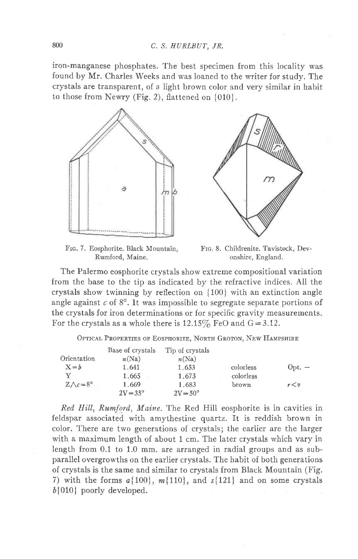iron-manganese phosphates. The best specimen from this locality was found by Mr. Charles Weeks and was loaned to the writer for study. The crystals are transparent, of a light brown color and very similar in habit to those from Newry (Fig. 2), flattened on  $\{010\}$ .



FIG. 7. Eosphorite. Black Mountain, Rumford, Maine.

Frc. 8. Childrenite. Tavistock, Devonshire, England.

The Palermo eosphorite crystals show extreme compositional variation from the base to the tip as indicated by the refractive indices. All the crystals show twinning by reflection on  $\{100\}$  with an extinction angle angle against  $c$  of  $8^\circ$ . It was impossible to segregate separate portions of the crystals for iron determinations or for specific gravity measurements. For the crystals as a whole there is  $12.15\%$  FeO and G=3.12.

Optical Properties of Eosphorite, North Groton, New Hampshire

|                          | Base of crystals  | Tip of crystals   |           |          |
|--------------------------|-------------------|-------------------|-----------|----------|
| Orientation              | n(Na)             | n(Na)             |           |          |
| $X = b$                  | 1.641             | 1.653             | colorless | $Opt. -$ |
| v                        | 1.665             | 1.673             | colorless |          |
| $Z \wedge c = 8^{\circ}$ | 1.669             | 1.683             | brown     | r < v    |
|                          | $2V = 35^{\circ}$ | $2V = 50^{\circ}$ |           |          |

Red Hill, Rumford, Maine. The Red Hill eosphorite is in cavities in feldspar associated with amythestine quartz. It is reddish brown in color. There are two generations of crystals; the earlier are the larger with a maximum length of about 1 cm. The later crystals which vary in length from 0.1 to 1.0 mm. are arranged in radial groups and as subparallel overgrowths on the earlier crystals. The habit of both generations of crystals is the same and similar to crystals from Black Mountain (Fig. 7) with the forms  $a\{100\}$ ,  $m\{110\}$ , and  $s\{121\}$  and on some crystals  $b$ {010} poorly developed.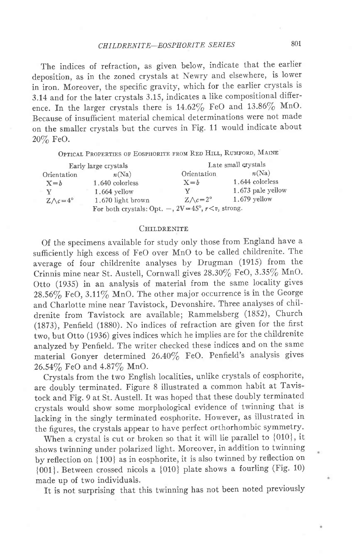## CHILDRENITE-EOSPHORITE SERIES 801

The indices of refraction, as given below, indicate that the earlier deposition, as in the zoned crystals at Newry and elsewhere, is lower in iron. Moreover, the specific gravity, which for the earlier crystals is 3.14 and for the later crystals 3.15, indicates a like compositional difference. In the larger crystals there is  $14.62\%$  FeO and  $13.86\%$  MnO. Because of insufficient material chemical determinations were not made on the smaller crystals but the curves in Fig. 11 would indicate about 20/6 FeO.

OPTICAL PROPERTIES OF EOSPHORITE FROM RED HILL, RUMFORD, MAINE

|                          | Early large crystals                                          |                          | Late small crystals |
|--------------------------|---------------------------------------------------------------|--------------------------|---------------------|
| Orientation              | n(Na)                                                         | Orientation              | n(Na)               |
| $X = b$                  | 1.640 colorless                                               | $X = b$                  | 1.644 colorless     |
| v                        | 1.664 vellow                                                  | v                        | 1.673 pale yellow   |
| $Z \wedge c = 4^{\circ}$ | 1.670 light brown                                             | $Z \wedge c = 2^{\circ}$ | $1.679$ yellow      |
|                          | For both crystals: Opt. $-, 2V = 45^{\circ}, r < v$ , strong. |                          |                     |

#### CHILDRENITE

Of the specimens available for study only those from England have a sufficiently high excess of FeO over MnO to be called childrenite. The average of four childrenite analyses by Drugman (1915) from the Crinnis mine near St. Austell, Cornwall gives 28.30% FeO, 3.35% MnO. Otto (1935) in an analysis of material from the same locality gives  $28.56\%$  FeO,  $3.11\%$  MnO. The other major occurrence is in the George and charlotte mine near Tavistock, Devonshire. Three analyses of childrenite from Tavistock are available; Rammelsberg (1852), Church (1873), Penfield (1830). No indices of refraction are given for the first two, but Otto (1936) gives indices which he impiies are for the childrenite analyzed by Penfield. The writer checked these indices and on the same material Gonyer determined 26.40% FeO. Penfield's analysis gives  $26.54\%$  FeO and  $4.87\%$  MnO.

Crystals from the two English localities, unlike crystals of eosphorite, are doubly terminated. Figure 8 illustrated a common habit at Tavistock and Fig. 9 at St. Austell. It was hoped that these doubly terminated crystals would show some morphological evidence of twinning that is lacking in the singly terminated eosphorite. However, as illustrated in the figures, the crystals appear to have perfect orthorhombic symmetry.

When a crystal is cut or broken so that it will lie parallel to {010}, it shows twinning under polarized light. Moreover, in addition to twinning by reflection on [ 100] as in eosphorite, it is also twinned by reflection on  ${001}$ . Between crossed nicols a  ${010}$  plate shows a fourling (Fig. 10) made up of two individuals.

It is not surprising that this twinning has not been noted previously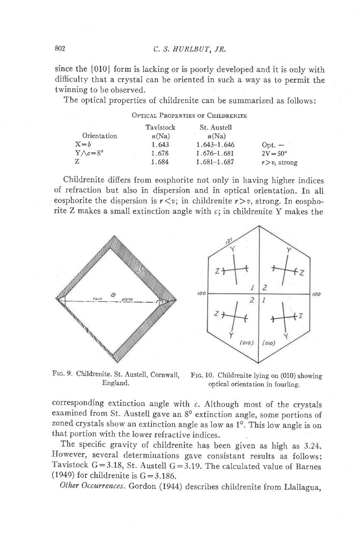since the {010} form is lacking or is poorly developed and it is only with difficulty that a crystal can be oriented in such a way as to permit the twinning to be observed.

The optical properties of childrenite can be summarized as follows:

|                          |           | OPTICAL PROPERTIES OF CHILDRENITE |                   |
|--------------------------|-----------|-----------------------------------|-------------------|
|                          | Tavistock | St. Austell                       |                   |
| Orientation              | n(Na)     | n(Na)                             |                   |
| $X = h$                  | 1.643     | $1.643 - 1.646$                   | $Opt. -$          |
| $Y \wedge c = 8^{\circ}$ | 1.678     | 1.676-1.681                       | $2V = 50^{\circ}$ |
| Z                        | 1.684     | $1.681 - 1.687$                   | $r > v$ , strong  |

Childrenite difiers from eosphorite not only in having higher indices of refraction but also in dispersion and in optical orientation. In all eosphorite the dispersion is  $r \lt v$ ; in childrenite  $r > v$ , strong. In eosphorite Z makes a small extinction angle with  $c$ ; in childrenite Y makes the



Frc. 9. Childrenite. St. Austell, Cornwall, Ensland.

Frc. 10. Childrenite lying on (010) showing optical orientation in fourling.

corresponding extinction angle with  $c$ . Although most of the crystals examined from St. Austell gave an 8° extinction angle, some portions of zoned crystals show an extinction angle as low as 1°. This low angle is on that portion with the lower refractive indices.

The specific gravity of childrenite has been given as high as 3.24. However, several determinations gave consistant results as follows: Tavistock  $G=3.18$ , St. Austell  $G=3.19$ . The calculated value of Barnes (1949) for childrenite is  $G = 3.186$ .

Other Occurrences. Gordon (1944) describes childrenite from Llallagua,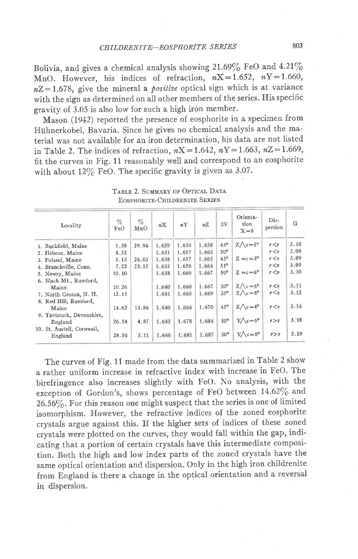Bolivia, and gives a chemical analysis showing  $21.69\%$  FeO and  $4.21\%$ MnO. However, his indices of refraction,  $nX = 1.652$ ,  $nY = 1.660$ ,  $nZ = 1.678$ , give the mineral a *positive* optical sign which is at variance with the sign as determined on all other members of the series. His specific gravity of 3.05 is also low for such a high iron member.

Mason (1942) reported the presence of eosphorite in a specimen from Hühnerkobel, Bavaria. Since he gives no chemical analysis and the material was not available for an iron determination, his data are not listed in Table 2. The indices of refraction,  $nX = 1.642$ ,  $nY = 1.663$ ,  $nZ = 1.669$ , fit the curves in Fig. 11 reasonably well and correspond to an eosphorite with about  $12\%$  FeO. The specific gravity is given as 3.07.

| Locality                              | $\%$<br>FeO | $\%$<br>MnO | $n\mathbf{X}$ | nY    | nZ    | 2V              | Orienta-<br>tion<br>$X = b$ | Dis-<br>persion | G    |
|---------------------------------------|-------------|-------------|---------------|-------|-------|-----------------|-----------------------------|-----------------|------|
| 1. Buckfield, Maine                   | 1.38        | 29.94       | 1.629         | 1.650 | 1.658 | $45^{\circ}$    | $Z \wedge c = 5^{\circ}$    | r < v           | 3.10 |
| 2. Hebron, Maine                      | 4.52        |             | 1.631         | 1.657 | 1.663 | $50^\circ$      |                             | r < v           | 3.08 |
| 3. Poland, Maine                      | 5.15        | 26.03       | 1.638         | 1.657 | 1.665 | 45°             | $Z = c = 3^{\circ}$         | r < v           | 3.09 |
| 4. Branchville, Conn.                 | 7.22        | 23.15       | 1.633         | 1.656 | 1,664 | $51^\circ$      |                             | r < v           | 3.09 |
| 5. Newry, Maine                       | 10.10       |             | 1.638         | 1.660 | 1.667 | $50^\circ$      | $Z = c = 6^{\circ}$         | r < v           | 3.10 |
| 6. Black Mt., Rumford,                |             |             |               |       |       |                 |                             |                 |      |
| Maine                                 | 10.26       |             | 1.640         | 1.660 | 1.667 | $50^\circ$      | $Z \wedge c = 6^{\circ}$    | r < v           | 3.11 |
| 7. North Groton, N. H.                | 12.15       |             | 1.641         | 1.665 | 1.669 | $35^{\circ}$    | $Z \wedge c = 8^{\circ}$    | $r \leq v$      | 3.12 |
| 8. Red Hill, Rumford,<br>Maine        | 14.62       | 13.86       | 1.640         | 1.664 | 1.670 | $45^{\circ}$    | $Z \wedge c = 4^{\circ}$    | r < v           | 3.14 |
| 9. Tavistock, Devonshire,<br>England  | 26.54       | 4.87        | 1.643         | 1.678 | 1.684 | $50^\circ$      | $Y \wedge c = 6^{\circ}$    | r > v           | 3.18 |
| 10. St. Austell, Cornwall,<br>England | 28.56       | 3.11        | 1.646         | 1.681 | 1.687 | 50 <sup>o</sup> | $Y \wedge c = 8^{\circ}$    | r > v           | 3.19 |

TABLE 2. SUMMARY OF OPTICAL DATA **EOSPHORITE-CHILDRENITE SERIES** 

The curves of Fig. 11 made from the data summarized in Table 2 show a rather uniform increase in refractive index with increase in FeO. The birefringence also increases slightly with FeO. No analysis, with the exception of Gordon's, shows percentage of FeO between 14.62% and  $26.56\%$ . For this reason one might suspect that the series is one of limited isomorphism. However, the refractive indices of the zoned eosphorite crystals argue against this. If the higher sets of indices of these zoned crystals were plotted on the curves, they would fall within the gap, indicating that a portion of certain crystals have this intermediate composition. Both the high and low index parts of the zoned crystals have the same optical orientation and dispersion. Only in the high iron childrenite from England is there a change in the optical orientation and a reversal in dispersion.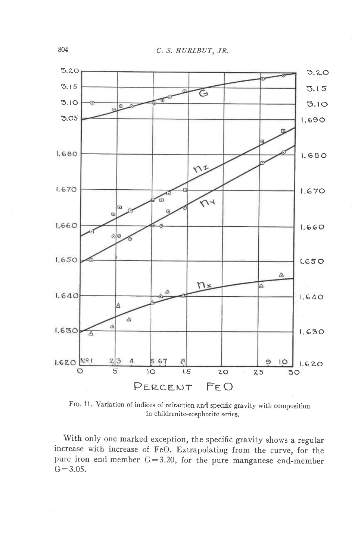

FIG. 11. Variation of indices of refraction and specific gravity with composition in childrenite-eosphorite series.

With only one marked exception, the specific gravity shows a regular increase with increase of FeO. Extrapolating from the curve, for the pure iron end-member  $G = 3.20$ , for the pure manganese end-member  $G = 3.05$ .

804